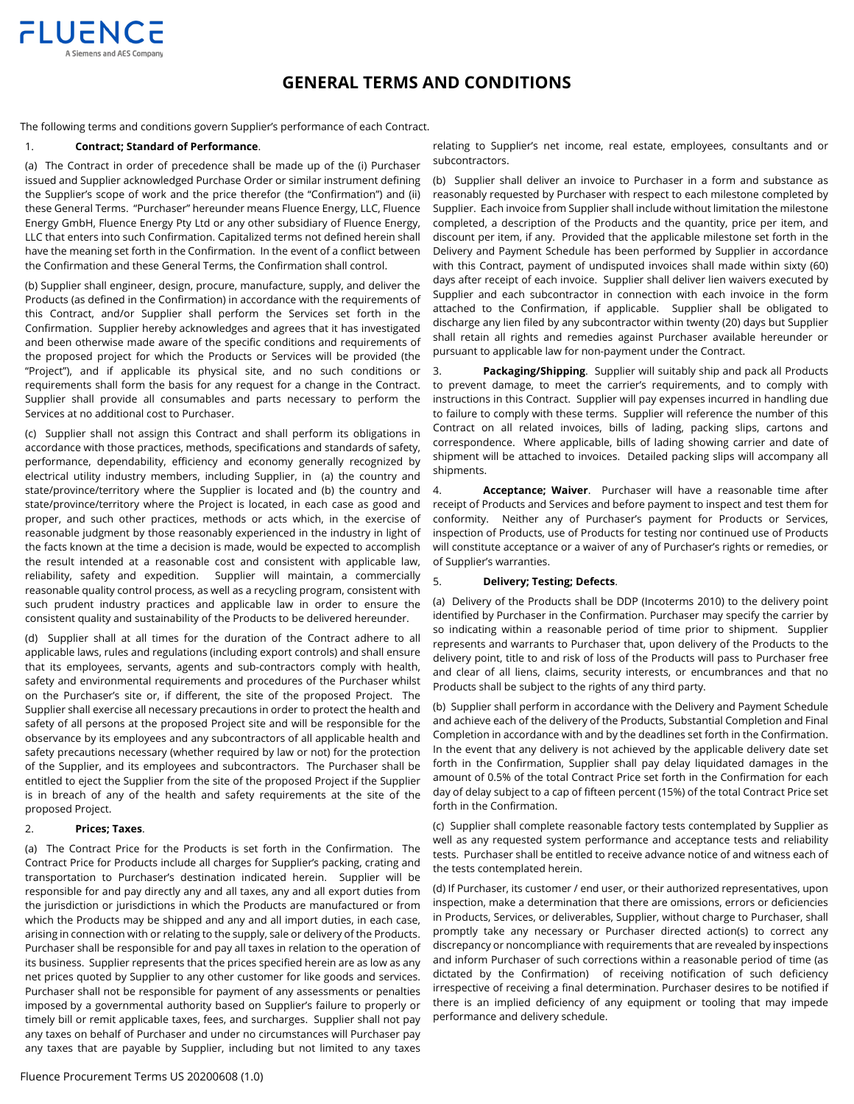

# **GENERAL TERMS AND CONDITIONS**

The following terms and conditions govern Supplier's performance of each Contract.

### 1. **Contract; Standard of Performance**.

(a) The Contract in order of precedence shall be made up of the (i) Purchaser issued and Supplier acknowledged Purchase Order or similar instrument defining the Supplier's scope of work and the price therefor (the "Confirmation") and (ii) these General Terms. "Purchaser" hereunder means Fluence Energy, LLC, Fluence Energy GmbH, Fluence Energy Pty Ltd or any other subsidiary of Fluence Energy, LLC that enters into such Confirmation. Capitalized terms not defined herein shall have the meaning set forth in the Confirmation. In the event of a conflict between the Confirmation and these General Terms, the Confirmation shall control.

(b) Supplier shall engineer, design, procure, manufacture, supply, and deliver the Products (as defined in the Confirmation) in accordance with the requirements of this Contract, and/or Supplier shall perform the Services set forth in the Confirmation. Supplier hereby acknowledges and agrees that it has investigated and been otherwise made aware of the specific conditions and requirements of the proposed project for which the Products or Services will be provided (the "Project"), and if applicable its physical site, and no such conditions or requirements shall form the basis for any request for a change in the Contract. Supplier shall provide all consumables and parts necessary to perform the Services at no additional cost to Purchaser.

(c) Supplier shall not assign this Contract and shall perform its obligations in accordance with those practices, methods, specifications and standards of safety, performance, dependability, efficiency and economy generally recognized by electrical utility industry members, including Supplier, in (a) the country and state/province/territory where the Supplier is located and (b) the country and state/province/territory where the Project is located, in each case as good and proper, and such other practices, methods or acts which, in the exercise of reasonable judgment by those reasonably experienced in the industry in light of the facts known at the time a decision is made, would be expected to accomplish the result intended at a reasonable cost and consistent with applicable law, reliability, safety and expedition. Supplier will maintain, a commercially reasonable quality control process, as well as a recycling program, consistent with such prudent industry practices and applicable law in order to ensure the consistent quality and sustainability of the Products to be delivered hereunder.

(d) Supplier shall at all times for the duration of the Contract adhere to all applicable laws, rules and regulations (including export controls) and shall ensure that its employees, servants, agents and sub-contractors comply with health, safety and environmental requirements and procedures of the Purchaser whilst on the Purchaser's site or, if different, the site of the proposed Project. The Supplier shall exercise all necessary precautions in order to protect the health and safety of all persons at the proposed Project site and will be responsible for the observance by its employees and any subcontractors of all applicable health and safety precautions necessary (whether required by law or not) for the protection of the Supplier, and its employees and subcontractors. The Purchaser shall be entitled to eject the Supplier from the site of the proposed Project if the Supplier is in breach of any of the health and safety requirements at the site of the proposed Project.

### 2. **Prices; Taxes**.

(a) The Contract Price for the Products is set forth in the Confirmation. The Contract Price for Products include all charges for Supplier's packing, crating and transportation to Purchaser's destination indicated herein. Supplier will be responsible for and pay directly any and all taxes, any and all export duties from the jurisdiction or jurisdictions in which the Products are manufactured or from which the Products may be shipped and any and all import duties, in each case, arising in connection with or relating to the supply, sale or delivery of the Products. Purchaser shall be responsible for and pay all taxes in relation to the operation of its business. Supplier represents that the prices specified herein are as low as any net prices quoted by Supplier to any other customer for like goods and services. Purchaser shall not be responsible for payment of any assessments or penalties imposed by a governmental authority based on Supplier's failure to properly or timely bill or remit applicable taxes, fees, and surcharges. Supplier shall not pay any taxes on behalf of Purchaser and under no circumstances will Purchaser pay any taxes that are payable by Supplier, including but not limited to any taxes

(b) Supplier shall deliver an invoice to Purchaser in a form and substance as reasonably requested by Purchaser with respect to each milestone completed by Supplier. Each invoice from Supplier shall include without limitation the milestone completed, a description of the Products and the quantity, price per item, and discount per item, if any. Provided that the applicable milestone set forth in the Delivery and Payment Schedule has been performed by Supplier in accordance with this Contract, payment of undisputed invoices shall made within sixty (60) days after receipt of each invoice. Supplier shall deliver lien waivers executed by Supplier and each subcontractor in connection with each invoice in the form attached to the Confirmation, if applicable. Supplier shall be obligated to discharge any lien filed by any subcontractor within twenty (20) days but Supplier shall retain all rights and remedies against Purchaser available hereunder or pursuant to applicable law for non-payment under the Contract.

3. **Packaging/Shipping**. Supplier will suitably ship and pack all Products to prevent damage, to meet the carrier's requirements, and to comply with instructions in this Contract. Supplier will pay expenses incurred in handling due to failure to comply with these terms. Supplier will reference the number of this Contract on all related invoices, bills of lading, packing slips, cartons and correspondence. Where applicable, bills of lading showing carrier and date of shipment will be attached to invoices. Detailed packing slips will accompany all shipments.

4. **Acceptance; Waiver**. Purchaser will have a reasonable time after receipt of Products and Services and before payment to inspect and test them for conformity. Neither any of Purchaser's payment for Products or Services, inspection of Products, use of Products for testing nor continued use of Products will constitute acceptance or a waiver of any of Purchaser's rights or remedies, or of Supplier's warranties.

## 5. **Delivery; Testing; Defects**.

(a) Delivery of the Products shall be DDP (Incoterms 2010) to the delivery point identified by Purchaser in the Confirmation. Purchaser may specify the carrier by so indicating within a reasonable period of time prior to shipment. Supplier represents and warrants to Purchaser that, upon delivery of the Products to the delivery point, title to and risk of loss of the Products will pass to Purchaser free and clear of all liens, claims, security interests, or encumbrances and that no Products shall be subject to the rights of any third party.

(b) Supplier shall perform in accordance with the Delivery and Payment Schedule and achieve each of the delivery of the Products, Substantial Completion and Final Completion in accordance with and by the deadlines set forth in the Confirmation. In the event that any delivery is not achieved by the applicable delivery date set forth in the Confirmation, Supplier shall pay delay liquidated damages in the amount of 0.5% of the total Contract Price set forth in the Confirmation for each day of delay subject to a cap of fifteen percent (15%) of the total Contract Price set forth in the Confirmation.

(c) Supplier shall complete reasonable factory tests contemplated by Supplier as well as any requested system performance and acceptance tests and reliability tests. Purchaser shall be entitled to receive advance notice of and witness each of the tests contemplated herein.

(d) If Purchaser, its customer / end user, or their authorized representatives, upon inspection, make a determination that there are omissions, errors or deficiencies in Products, Services, or deliverables, Supplier, without charge to Purchaser, shall promptly take any necessary or Purchaser directed action(s) to correct any discrepancy or noncompliance with requirements that are revealed by inspections and inform Purchaser of such corrections within a reasonable period of time (as dictated by the Confirmation) of receiving notification of such deficiency irrespective of receiving a final determination. Purchaser desires to be notified if there is an implied deficiency of any equipment or tooling that may impede performance and delivery schedule.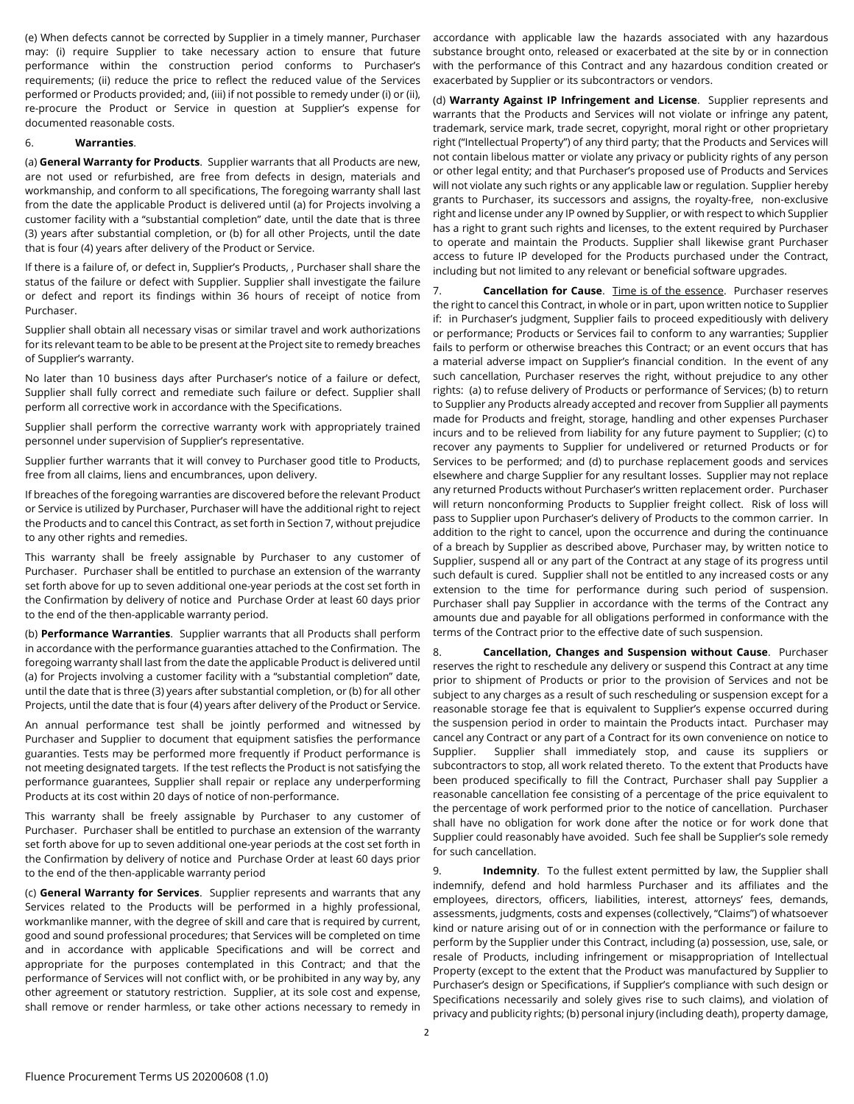(e) When defects cannot be corrected by Supplier in a timely manner, Purchaser may: (i) require Supplier to take necessary action to ensure that future performance within the construction period conforms to Purchaser's requirements; (ii) reduce the price to reflect the reduced value of the Services performed or Products provided; and, (iii) if not possible to remedy under (i) or (ii), re-procure the Product or Service in question at Supplier's expense for documented reasonable costs.

#### 6. **Warranties**.

(a) **General Warranty for Products**. Supplier warrants that all Products are new, are not used or refurbished, are free from defects in design, materials and workmanship, and conform to all specifications, The foregoing warranty shall last from the date the applicable Product is delivered until (a) for Projects involving a customer facility with a "substantial completion" date, until the date that is three (3) years after substantial completion, or (b) for all other Projects, until the date that is four (4) years after delivery of the Product or Service.

If there is a failure of, or defect in, Supplier's Products, , Purchaser shall share the status of the failure or defect with Supplier. Supplier shall investigate the failure or defect and report its findings within 36 hours of receipt of notice from Purchaser.

Supplier shall obtain all necessary visas or similar travel and work authorizations for its relevant team to be able to be present at the Project site to remedy breaches of Supplier's warranty.

No later than 10 business days after Purchaser's notice of a failure or defect, Supplier shall fully correct and remediate such failure or defect. Supplier shall perform all corrective work in accordance with the Specifications.

Supplier shall perform the corrective warranty work with appropriately trained personnel under supervision of Supplier's representative.

Supplier further warrants that it will convey to Purchaser good title to Products, free from all claims, liens and encumbrances, upon delivery.

If breaches of the foregoing warranties are discovered before the relevant Product or Service is utilized by Purchaser, Purchaser will have the additional right to reject the Products and to cancel this Contract, as set forth in Section 7, without prejudice to any other rights and remedies.

This warranty shall be freely assignable by Purchaser to any customer of Purchaser. Purchaser shall be entitled to purchase an extension of the warranty set forth above for up to seven additional one-year periods at the cost set forth in the Confirmation by delivery of notice and Purchase Order at least 60 days prior to the end of the then-applicable warranty period.

(b) **Performance Warranties**. Supplier warrants that all Products shall perform in accordance with the performance guaranties attached to the Confirmation. The foregoing warranty shall last from the date the applicable Product is delivered until (a) for Projects involving a customer facility with a "substantial completion" date, until the date that is three (3) years after substantial completion, or (b) for all other Projects, until the date that is four (4) years after delivery of the Product or Service.

An annual performance test shall be jointly performed and witnessed by Purchaser and Supplier to document that equipment satisfies the performance guaranties. Tests may be performed more frequently if Product performance is not meeting designated targets. If the test reflects the Product is not satisfying the performance guarantees, Supplier shall repair or replace any underperforming Products at its cost within 20 days of notice of non-performance.

This warranty shall be freely assignable by Purchaser to any customer of Purchaser. Purchaser shall be entitled to purchase an extension of the warranty set forth above for up to seven additional one-year periods at the cost set forth in the Confirmation by delivery of notice and Purchase Order at least 60 days prior to the end of the then-applicable warranty period

(c) **General Warranty for Services**. Supplier represents and warrants that any Services related to the Products will be performed in a highly professional, workmanlike manner, with the degree of skill and care that is required by current, good and sound professional procedures; that Services will be completed on time and in accordance with applicable Specifications and will be correct and appropriate for the purposes contemplated in this Contract; and that the performance of Services will not conflict with, or be prohibited in any way by, any other agreement or statutory restriction. Supplier, at its sole cost and expense, shall remove or render harmless, or take other actions necessary to remedy in accordance with applicable law the hazards associated with any hazardous substance brought onto, released or exacerbated at the site by or in connection with the performance of this Contract and any hazardous condition created or exacerbated by Supplier or its subcontractors or vendors.

(d) **Warranty Against IP Infringement and License**. Supplier represents and warrants that the Products and Services will not violate or infringe any patent, trademark, service mark, trade secret, copyright, moral right or other proprietary right ("Intellectual Property") of any third party; that the Products and Services will not contain libelous matter or violate any privacy or publicity rights of any person or other legal entity; and that Purchaser's proposed use of Products and Services will not violate any such rights or any applicable law or regulation. Supplier hereby grants to Purchaser, its successors and assigns, the royalty-free, non-exclusive right and license under any IP owned by Supplier, or with respect to which Supplier has a right to grant such rights and licenses, to the extent required by Purchaser to operate and maintain the Products. Supplier shall likewise grant Purchaser access to future IP developed for the Products purchased under the Contract, including but not limited to any relevant or beneficial software upgrades.

7. **Cancellation for Cause**. Time is of the essence. Purchaser reserves the right to cancel this Contract, in whole or in part, upon written notice to Supplier if: in Purchaser's judgment, Supplier fails to proceed expeditiously with delivery or performance; Products or Services fail to conform to any warranties; Supplier fails to perform or otherwise breaches this Contract; or an event occurs that has a material adverse impact on Supplier's financial condition. In the event of any such cancellation, Purchaser reserves the right, without prejudice to any other rights: (a) to refuse delivery of Products or performance of Services; (b) to return to Supplier any Products already accepted and recover from Supplier all payments made for Products and freight, storage, handling and other expenses Purchaser incurs and to be relieved from liability for any future payment to Supplier; (c) to recover any payments to Supplier for undelivered or returned Products or for Services to be performed; and (d) to purchase replacement goods and services elsewhere and charge Supplier for any resultant losses. Supplier may not replace any returned Products without Purchaser's written replacement order. Purchaser will return nonconforming Products to Supplier freight collect. Risk of loss will pass to Supplier upon Purchaser's delivery of Products to the common carrier. In addition to the right to cancel, upon the occurrence and during the continuance of a breach by Supplier as described above, Purchaser may, by written notice to Supplier, suspend all or any part of the Contract at any stage of its progress until such default is cured. Supplier shall not be entitled to any increased costs or any extension to the time for performance during such period of suspension. Purchaser shall pay Supplier in accordance with the terms of the Contract any amounts due and payable for all obligations performed in conformance with the terms of the Contract prior to the effective date of such suspension.

8. **Cancellation, Changes and Suspension without Cause**. Purchaser reserves the right to reschedule any delivery or suspend this Contract at any time prior to shipment of Products or prior to the provision of Services and not be subject to any charges as a result of such rescheduling or suspension except for a reasonable storage fee that is equivalent to Supplier's expense occurred during the suspension period in order to maintain the Products intact. Purchaser may cancel any Contract or any part of a Contract for its own convenience on notice to Supplier. Supplier shall immediately stop, and cause its suppliers or subcontractors to stop, all work related thereto. To the extent that Products have been produced specifically to fill the Contract, Purchaser shall pay Supplier a reasonable cancellation fee consisting of a percentage of the price equivalent to the percentage of work performed prior to the notice of cancellation. Purchaser shall have no obligation for work done after the notice or for work done that Supplier could reasonably have avoided. Such fee shall be Supplier's sole remedy for such cancellation.

9. **Indemnity**. To the fullest extent permitted by law, the Supplier shall indemnify, defend and hold harmless Purchaser and its affiliates and the employees, directors, officers, liabilities, interest, attorneys' fees, demands, assessments, judgments, costs and expenses (collectively, "Claims") of whatsoever kind or nature arising out of or in connection with the performance or failure to perform by the Supplier under this Contract, including (a) possession, use, sale, or resale of Products, including infringement or misappropriation of Intellectual Property (except to the extent that the Product was manufactured by Supplier to Purchaser's design or Specifications, if Supplier's compliance with such design or Specifications necessarily and solely gives rise to such claims), and violation of privacy and publicity rights; (b) personal injury (including death), property damage,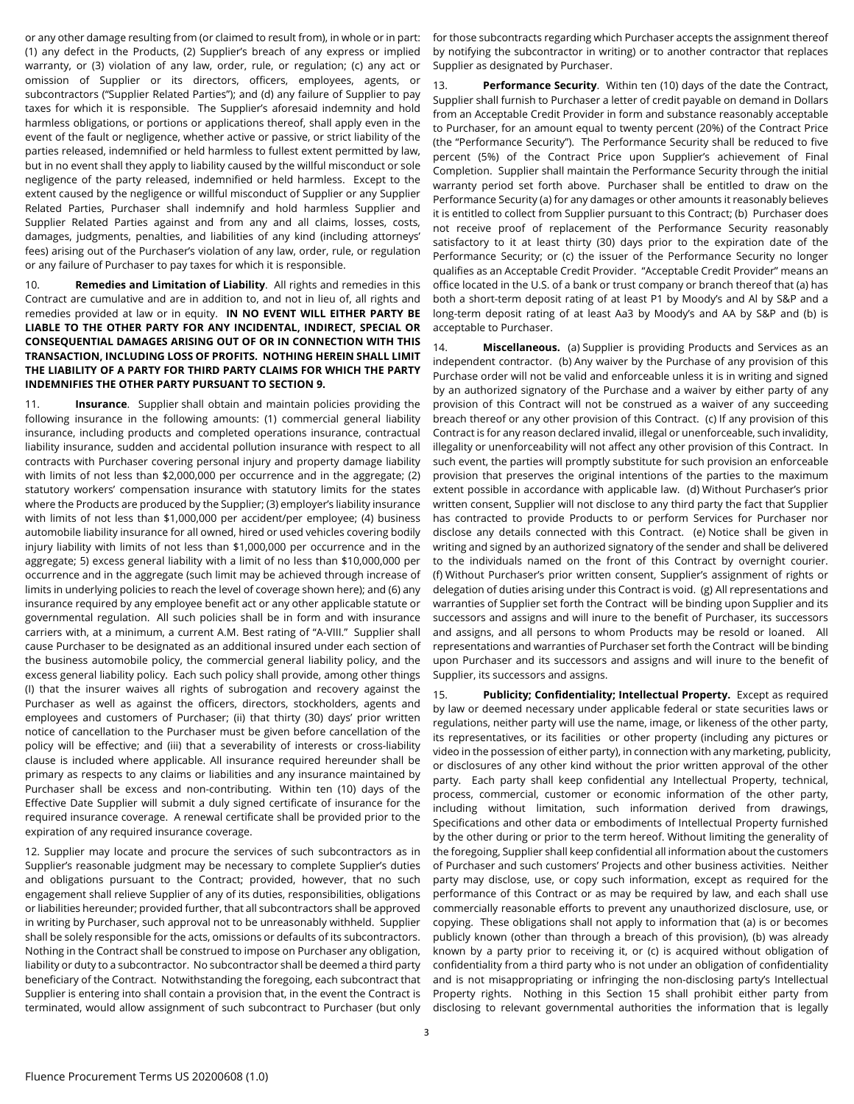or any other damage resulting from (or claimed to result from), in whole or in part: (1) any defect in the Products, (2) Supplier's breach of any express or implied warranty, or (3) violation of any law, order, rule, or regulation; (c) any act or omission of Supplier or its directors, officers, employees, agents, or subcontractors ("Supplier Related Parties"); and (d) any failure of Supplier to pay taxes for which it is responsible. The Supplier's aforesaid indemnity and hold harmless obligations, or portions or applications thereof, shall apply even in the event of the fault or negligence, whether active or passive, or strict liability of the parties released, indemnified or held harmless to fullest extent permitted by law, but in no event shall they apply to liability caused by the willful misconduct or sole negligence of the party released, indemnified or held harmless. Except to the extent caused by the negligence or willful misconduct of Supplier or any Supplier Related Parties, Purchaser shall indemnify and hold harmless Supplier and Supplier Related Parties against and from any and all claims, losses, costs, damages, judgments, penalties, and liabilities of any kind (including attorneys' fees) arising out of the Purchaser's violation of any law, order, rule, or regulation or any failure of Purchaser to pay taxes for which it is responsible.

10. **Remedies and Limitation of Liability**. All rights and remedies in this Contract are cumulative and are in addition to, and not in lieu of, all rights and remedies provided at law or in equity. **IN NO EVENT WILL EITHER PARTY BE LIABLE TO THE OTHER PARTY FOR ANY INCIDENTAL, INDIRECT, SPECIAL OR CONSEQUENTIAL DAMAGES ARISING OUT OF OR IN CONNECTION WITH THIS TRANSACTION, INCLUDING LOSS OF PROFITS. NOTHING HEREIN SHALL LIMIT THE LIABILITY OF A PARTY FOR THIRD PARTY CLAIMS FOR WHICH THE PARTY INDEMNIFIES THE OTHER PARTY PURSUANT TO SECTION 9.**

11. **Insurance**. Supplier shall obtain and maintain policies providing the following insurance in the following amounts: (1) commercial general liability insurance, including products and completed operations insurance, contractual liability insurance, sudden and accidental pollution insurance with respect to all contracts with Purchaser covering personal injury and property damage liability with limits of not less than \$2,000,000 per occurrence and in the aggregate; (2) statutory workers' compensation insurance with statutory limits for the states where the Products are produced by the Supplier; (3) employer's liability insurance with limits of not less than \$1,000,000 per accident/per employee; (4) business automobile liability insurance for all owned, hired or used vehicles covering bodily injury liability with limits of not less than \$1,000,000 per occurrence and in the aggregate; 5) excess general liability with a limit of no less than \$10,000,000 per occurrence and in the aggregate (such limit may be achieved through increase of limits in underlying policies to reach the level of coverage shown here); and (6) any insurance required by any employee benefit act or any other applicable statute or governmental regulation. All such policies shall be in form and with insurance carriers with, at a minimum, a current A.M. Best rating of "A-VIII." Supplier shall cause Purchaser to be designated as an additional insured under each section of the business automobile policy, the commercial general liability policy, and the excess general liability policy. Each such policy shall provide, among other things (I) that the insurer waives all rights of subrogation and recovery against the Purchaser as well as against the officers, directors, stockholders, agents and employees and customers of Purchaser; (ii) that thirty (30) days' prior written notice of cancellation to the Purchaser must be given before cancellation of the policy will be effective; and (iii) that a severability of interests or cross-liability clause is included where applicable. All insurance required hereunder shall be primary as respects to any claims or liabilities and any insurance maintained by Purchaser shall be excess and non-contributing. Within ten (10) days of the Effective Date Supplier will submit a duly signed certificate of insurance for the required insurance coverage. A renewal certificate shall be provided prior to the expiration of any required insurance coverage.

12. Supplier may locate and procure the services of such subcontractors as in Supplier's reasonable judgment may be necessary to complete Supplier's duties and obligations pursuant to the Contract; provided, however, that no such engagement shall relieve Supplier of any of its duties, responsibilities, obligations or liabilities hereunder; provided further, that all subcontractors shall be approved in writing by Purchaser, such approval not to be unreasonably withheld. Supplier shall be solely responsible for the acts, omissions or defaults of its subcontractors. Nothing in the Contract shall be construed to impose on Purchaser any obligation, liability or duty to a subcontractor. No subcontractor shall be deemed a third party beneficiary of the Contract. Notwithstanding the foregoing, each subcontract that Supplier is entering into shall contain a provision that, in the event the Contract is terminated, would allow assignment of such subcontract to Purchaser (but only for those subcontracts regarding which Purchaser accepts the assignment thereof by notifying the subcontractor in writing) or to another contractor that replaces Supplier as designated by Purchaser.

13. **Performance Security**. Within ten (10) days of the date the Contract, Supplier shall furnish to Purchaser a letter of credit payable on demand in Dollars from an Acceptable Credit Provider in form and substance reasonably acceptable to Purchaser, for an amount equal to twenty percent (20%) of the Contract Price (the "Performance Security"). The Performance Security shall be reduced to five percent (5%) of the Contract Price upon Supplier's achievement of Final Completion. Supplier shall maintain the Performance Security through the initial warranty period set forth above. Purchaser shall be entitled to draw on the Performance Security (a) for any damages or other amounts it reasonably believes it is entitled to collect from Supplier pursuant to this Contract; (b) Purchaser does not receive proof of replacement of the Performance Security reasonably satisfactory to it at least thirty (30) days prior to the expiration date of the Performance Security; or (c) the issuer of the Performance Security no longer qualifies as an Acceptable Credit Provider. "Acceptable Credit Provider" means an office located in the U.S. of a bank or trust company or branch thereof that (a) has both a short-term deposit rating of at least P1 by Moody's and Al by S&P and a long-term deposit rating of at least Aa3 by Moody's and AA by S&P and (b) is acceptable to Purchaser.

14. **Miscellaneous.** (a) Supplier is providing Products and Services as an independent contractor. (b) Any waiver by the Purchase of any provision of this Purchase order will not be valid and enforceable unless it is in writing and signed by an authorized signatory of the Purchase and a waiver by either party of any provision of this Contract will not be construed as a waiver of any succeeding breach thereof or any other provision of this Contract. (c) If any provision of this Contract is for any reason declared invalid, illegal or unenforceable, such invalidity, illegality or unenforceability will not affect any other provision of this Contract. In such event, the parties will promptly substitute for such provision an enforceable provision that preserves the original intentions of the parties to the maximum extent possible in accordance with applicable law. (d) Without Purchaser's prior written consent, Supplier will not disclose to any third party the fact that Supplier has contracted to provide Products to or perform Services for Purchaser nor disclose any details connected with this Contract. (e) Notice shall be given in writing and signed by an authorized signatory of the sender and shall be delivered to the individuals named on the front of this Contract by overnight courier. (f) Without Purchaser's prior written consent, Supplier's assignment of rights or delegation of duties arising under this Contract is void. (g) All representations and warranties of Supplier set forth the Contract will be binding upon Supplier and its successors and assigns and will inure to the benefit of Purchaser, its successors and assigns, and all persons to whom Products may be resold or loaned. All representations and warranties of Purchaser set forth the Contract will be binding upon Purchaser and its successors and assigns and will inure to the benefit of Supplier, its successors and assigns.

15. **Publicity; Confidentiality; Intellectual Property.** Except as required by law or deemed necessary under applicable federal or state securities laws or regulations, neither party will use the name, image, or likeness of the other party, its representatives, or its facilities or other property (including any pictures or video in the possession of either party), in connection with any marketing, publicity, or disclosures of any other kind without the prior written approval of the other party. Each party shall keep confidential any Intellectual Property, technical, process, commercial, customer or economic information of the other party, including without limitation, such information derived from drawings, Specifications and other data or embodiments of Intellectual Property furnished by the other during or prior to the term hereof. Without limiting the generality of the foregoing, Supplier shall keep confidential all information about the customers of Purchaser and such customers' Projects and other business activities. Neither party may disclose, use, or copy such information, except as required for the performance of this Contract or as may be required by law, and each shall use commercially reasonable efforts to prevent any unauthorized disclosure, use, or copying. These obligations shall not apply to information that (a) is or becomes publicly known (other than through a breach of this provision), (b) was already known by a party prior to receiving it, or (c) is acquired without obligation of confidentiality from a third party who is not under an obligation of confidentiality and is not misappropriating or infringing the non-disclosing party's Intellectual Property rights. Nothing in this Section 15 shall prohibit either party from disclosing to relevant governmental authorities the information that is legally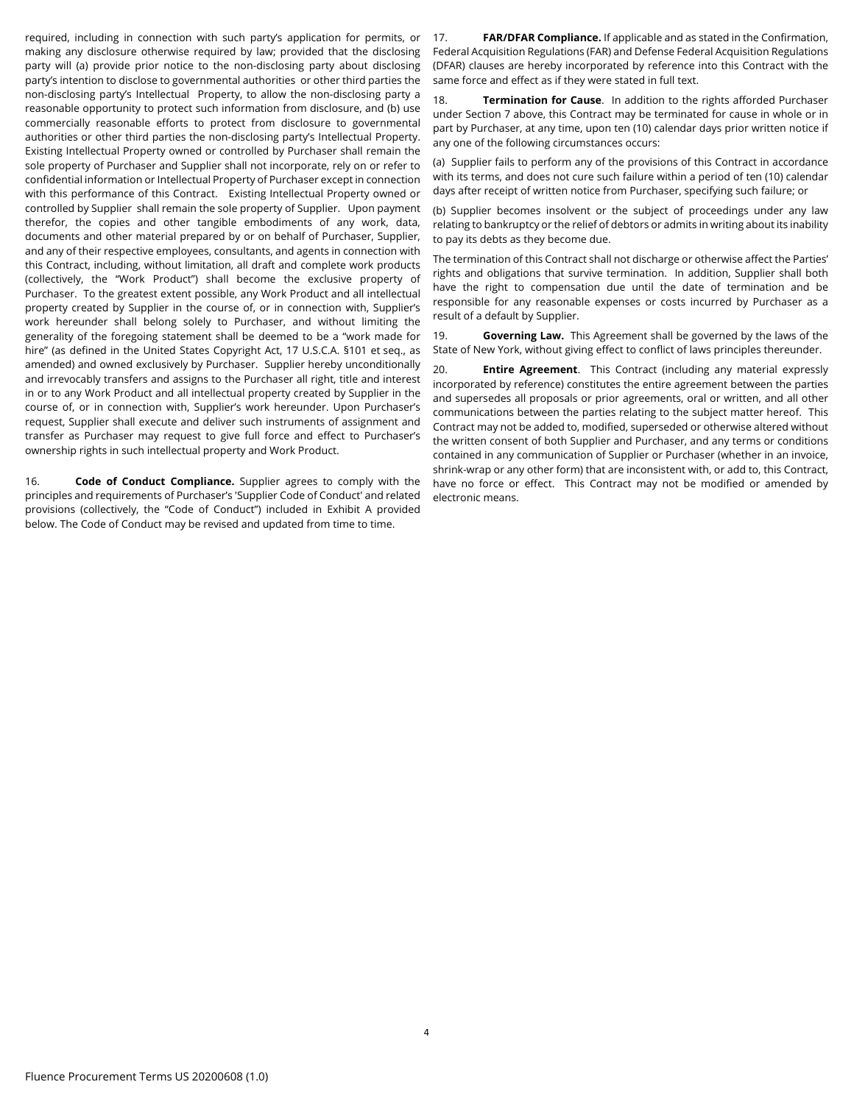required, including in connection with such party's application for permits, or making any disclosure otherwise required by law; provided that the disclosing party will (a) provide prior notice to the non-disclosing party about disclosing party's intention to disclose to governmental authorities or other third parties the non-disclosing party's Intellectual Property, to allow the non-disclosing party a reasonable opportunity to protect such information from disclosure, and (b) use commercially reasonable efforts to protect from disclosure to governmental authorities or other third parties the non-disclosing party's Intellectual Property. Existing Intellectual Property owned or controlled by Purchaser shall remain the sole property of Purchaser and Supplier shall not incorporate, rely on or refer to confidential information or Intellectual Property of Purchaser except in connection with this performance of this Contract. Existing Intellectual Property owned or controlled by Supplier shall remain the sole property of Supplier. Upon payment therefor, the copies and other tangible embodiments of any work, data, documents and other material prepared by or on behalf of Purchaser, Supplier, and any of their respective employees, consultants, and agents in connection with this Contract, including, without limitation, all draft and complete work products (collectively, the "Work Product") shall become the exclusive property of Purchaser. To the greatest extent possible, any Work Product and all intellectual property created by Supplier in the course of, or in connection with, Supplier's work hereunder shall belong solely to Purchaser, and without limiting the generality of the foregoing statement shall be deemed to be a "work made for hire" (as defined in the United States Copyright Act, 17 U.S.C.A. §101 et seq., as amended) and owned exclusively by Purchaser. Supplier hereby unconditionally and irrevocably transfers and assigns to the Purchaser all right, title and interest in or to any Work Product and all intellectual property created by Supplier in the course of, or in connection with, Supplier's work hereunder. Upon Purchaser's request, Supplier shall execute and deliver such instruments of assignment and transfer as Purchaser may request to give full force and effect to Purchaser's ownership rights in such intellectual property and Work Product.

16. **Code of Conduct Compliance.** Supplier agrees to comply with the principles and requirements of Purchaser's 'Supplier Code of Conduct' and related provisions (collectively, the "Code of Conduct") included in Exhibit A provided below. The Code of Conduct may be revised and updated from time to time.

17. **FAR/DFAR Compliance.** If applicable and as stated in the Confirmation, Federal Acquisition Regulations (FAR) and Defense Federal Acquisition Regulations (DFAR) clauses are hereby incorporated by reference into this Contract with the same force and effect as if they were stated in full text.

18. **Termination for Cause**. In addition to the rights afforded Purchaser under Section 7 above, this Contract may be terminated for cause in whole or in part by Purchaser, at any time, upon ten (10) calendar days prior written notice if any one of the following circumstances occurs:

(a) Supplier fails to perform any of the provisions of this Contract in accordance with its terms, and does not cure such failure within a period of ten (10) calendar days after receipt of written notice from Purchaser, specifying such failure; or

(b) Supplier becomes insolvent or the subject of proceedings under any law relating to bankruptcy or the relief of debtors or admits in writing about its inability to pay its debts as they become due.

The termination of this Contract shall not discharge or otherwise affect the Parties' rights and obligations that survive termination. In addition, Supplier shall both have the right to compensation due until the date of termination and be responsible for any reasonable expenses or costs incurred by Purchaser as a result of a default by Supplier.

19. **Governing Law.** This Agreement shall be governed by the laws of the State of New York, without giving effect to conflict of laws principles thereunder.

20. **Entire Agreement**. This Contract (including any material expressly incorporated by reference) constitutes the entire agreement between the parties and supersedes all proposals or prior agreements, oral or written, and all other communications between the parties relating to the subject matter hereof. This Contract may not be added to, modified, superseded or otherwise altered without the written consent of both Supplier and Purchaser, and any terms or conditions contained in any communication of Supplier or Purchaser (whether in an invoice, shrink-wrap or any other form) that are inconsistent with, or add to, this Contract, have no force or effect. This Contract may not be modified or amended by electronic means.